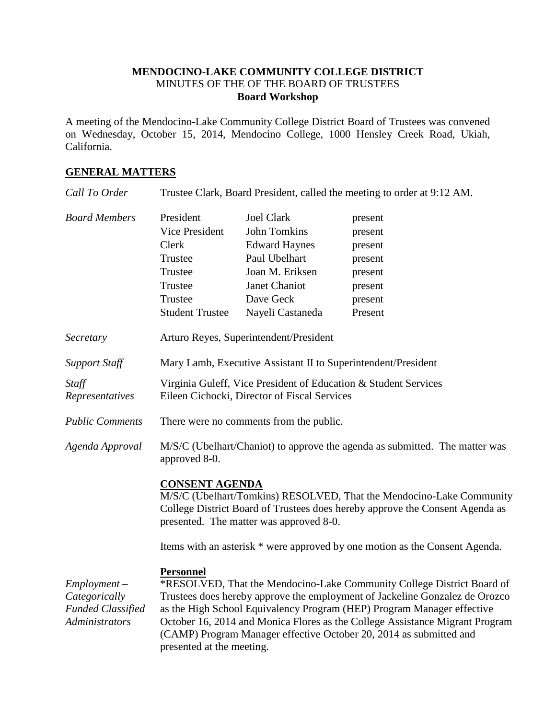## **MENDOCINO-LAKE COMMUNITY COLLEGE DISTRICT** MINUTES OF THE OF THE BOARD OF TRUSTEES **Board Workshop**

A meeting of the Mendocino-Lake Community College District Board of Trustees was convened on Wednesday, October 15, 2014, Mendocino College, 1000 Hensley Creek Road, Ukiah, California.

## **GENERAL MATTERS**

| Call To Order                                                                 | Trustee Clark, Board President, called the meeting to order at 9:12 AM.                                                                                                                                                                                                                                                                                                                                                                |                                                                                                                                                        |                                                                                      |
|-------------------------------------------------------------------------------|----------------------------------------------------------------------------------------------------------------------------------------------------------------------------------------------------------------------------------------------------------------------------------------------------------------------------------------------------------------------------------------------------------------------------------------|--------------------------------------------------------------------------------------------------------------------------------------------------------|--------------------------------------------------------------------------------------|
| <b>Board Members</b>                                                          | President<br>Vice President<br>Clerk<br>Trustee<br>Trustee<br>Trustee<br>Trustee<br><b>Student Trustee</b>                                                                                                                                                                                                                                                                                                                             | <b>Joel Clark</b><br><b>John Tomkins</b><br><b>Edward Haynes</b><br>Paul Ubelhart<br>Joan M. Eriksen<br>Janet Chaniot<br>Dave Geck<br>Nayeli Castaneda | present<br>present<br>present<br>present<br>present<br>present<br>present<br>Present |
| Secretary                                                                     | Arturo Reyes, Superintendent/President                                                                                                                                                                                                                                                                                                                                                                                                 |                                                                                                                                                        |                                                                                      |
| <b>Support Staff</b>                                                          | Mary Lamb, Executive Assistant II to Superintendent/President                                                                                                                                                                                                                                                                                                                                                                          |                                                                                                                                                        |                                                                                      |
| Staff<br>Representatives                                                      | Virginia Guleff, Vice President of Education & Student Services<br>Eileen Cichocki, Director of Fiscal Services                                                                                                                                                                                                                                                                                                                        |                                                                                                                                                        |                                                                                      |
| <b>Public Comments</b>                                                        | There were no comments from the public.                                                                                                                                                                                                                                                                                                                                                                                                |                                                                                                                                                        |                                                                                      |
| Agenda Approval                                                               | M/S/C (Ubelhart/Chaniot) to approve the agenda as submitted. The matter was<br>approved 8-0.                                                                                                                                                                                                                                                                                                                                           |                                                                                                                                                        |                                                                                      |
|                                                                               | <b>CONSENT AGENDA</b><br>M/S/C (Ubelhart/Tomkins) RESOLVED, That the Mendocino-Lake Community<br>College District Board of Trustees does hereby approve the Consent Agenda as<br>presented. The matter was approved 8-0.<br>Items with an asterisk * were approved by one motion as the Consent Agenda.                                                                                                                                |                                                                                                                                                        |                                                                                      |
| $Employment -$<br>Categorically<br><b>Funded Classified</b><br>Administrators | <b>Personnel</b><br>*RESOLVED, That the Mendocino-Lake Community College District Board of<br>Trustees does hereby approve the employment of Jackeline Gonzalez de Orozco<br>as the High School Equivalency Program (HEP) Program Manager effective<br>October 16, 2014 and Monica Flores as the College Assistance Migrant Program<br>(CAMP) Program Manager effective October 20, 2014 as submitted and<br>presented at the meeting. |                                                                                                                                                        |                                                                                      |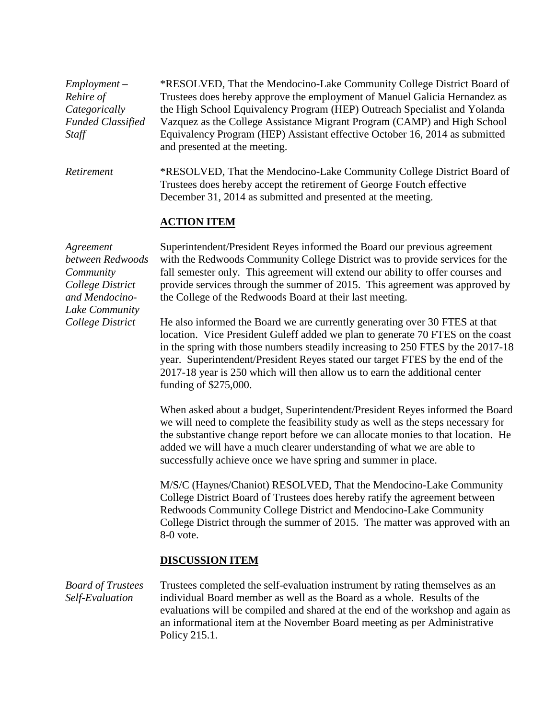| $Employment -$<br>Rehire of<br>Categorically<br><b>Funded Classified</b><br>Staff                  | *RESOLVED, That the Mendocino-Lake Community College District Board of<br>Trustees does hereby approve the employment of Manuel Galicia Hernandez as<br>the High School Equivalency Program (HEP) Outreach Specialist and Yolanda<br>Vazquez as the College Assistance Migrant Program (CAMP) and High School<br>Equivalency Program (HEP) Assistant effective October 16, 2014 as submitted<br>and presented at the meeting.            |  |  |  |
|----------------------------------------------------------------------------------------------------|------------------------------------------------------------------------------------------------------------------------------------------------------------------------------------------------------------------------------------------------------------------------------------------------------------------------------------------------------------------------------------------------------------------------------------------|--|--|--|
| Retirement                                                                                         | *RESOLVED, That the Mendocino-Lake Community College District Board of<br>Trustees does hereby accept the retirement of George Foutch effective<br>December 31, 2014 as submitted and presented at the meeting.                                                                                                                                                                                                                          |  |  |  |
|                                                                                                    | <b>ACTION ITEM</b>                                                                                                                                                                                                                                                                                                                                                                                                                       |  |  |  |
| Agreement<br>between Redwoods<br>Community<br>College District<br>and Mendocino-<br>Lake Community | Superintendent/President Reyes informed the Board our previous agreement<br>with the Redwoods Community College District was to provide services for the<br>fall semester only. This agreement will extend our ability to offer courses and<br>provide services through the summer of 2015. This agreement was approved by<br>the College of the Redwoods Board at their last meeting.                                                   |  |  |  |
| College District                                                                                   | He also informed the Board we are currently generating over 30 FTES at that<br>location. Vice President Guleff added we plan to generate 70 FTES on the coast<br>in the spring with those numbers steadily increasing to 250 FTES by the 2017-18<br>year. Superintendent/President Reyes stated our target FTES by the end of the<br>2017-18 year is 250 which will then allow us to earn the additional center<br>funding of \$275,000. |  |  |  |
|                                                                                                    | When asked about a budget, Superintendent/President Reyes informed the Board<br>we will need to complete the feasibility study as well as the steps necessary for<br>the substantive change report before we can allocate monies to that location. He<br>added we will have a much clearer understanding of what we are able to<br>successfully achieve once we have spring and summer in place.                                         |  |  |  |
|                                                                                                    | M/S/C (Haynes/Chaniot) RESOLVED, That the Mendocino-Lake Community<br>College District Board of Trustees does hereby ratify the agreement between<br>Redwoods Community College District and Mendocino-Lake Community<br>College District through the summer of 2015. The matter was approved with an<br>8-0 vote.                                                                                                                       |  |  |  |
|                                                                                                    | <b>DISCUSSION ITEM</b>                                                                                                                                                                                                                                                                                                                                                                                                                   |  |  |  |
| <b>Board of Trustees</b><br>Self-Evaluation                                                        | Trustees completed the self-evaluation instrument by rating themselves as an<br>individual Board member as well as the Board as a whole. Results of the<br>evaluations will be compiled and shared at the end of the workshop and again as<br>an informational item at the November Board meeting as per Administrative<br>Policy 215.1.                                                                                                 |  |  |  |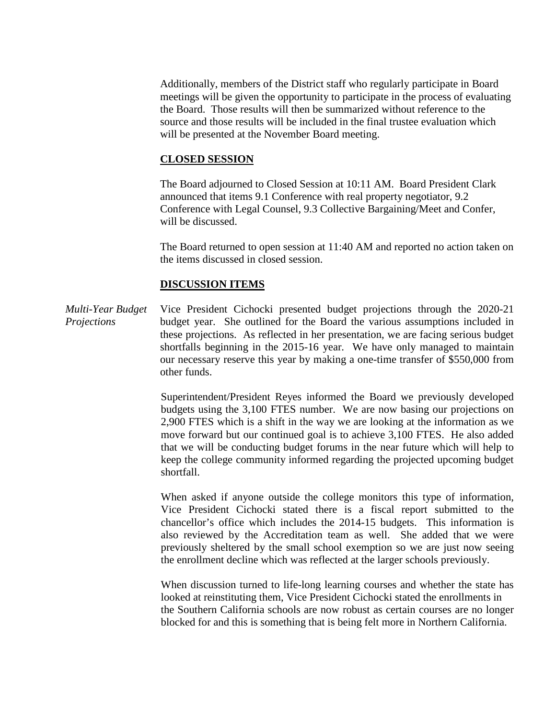Additionally, members of the District staff who regularly participate in Board meetings will be given the opportunity to participate in the process of evaluating the Board. Those results will then be summarized without reference to the source and those results will be included in the final trustee evaluation which will be presented at the November Board meeting.

## **CLOSED SESSION**

The Board adjourned to Closed Session at 10:11 AM. Board President Clark announced that items 9.1 Conference with real property negotiator, 9.2 Conference with Legal Counsel, 9.3 Collective Bargaining/Meet and Confer, will be discussed.

The Board returned to open session at 11:40 AM and reported no action taken on the items discussed in closed session.

## **DISCUSSION ITEMS**

*Multi-Year Budget Projections* Vice President Cichocki presented budget projections through the 2020-21 budget year. She outlined for the Board the various assumptions included in these projections. As reflected in her presentation, we are facing serious budget shortfalls beginning in the 2015-16 year. We have only managed to maintain our necessary reserve this year by making a one-time transfer of \$550,000 from other funds.

> Superintendent/President Reyes informed the Board we previously developed budgets using the 3,100 FTES number. We are now basing our projections on 2,900 FTES which is a shift in the way we are looking at the information as we move forward but our continued goal is to achieve 3,100 FTES. He also added that we will be conducting budget forums in the near future which will help to keep the college community informed regarding the projected upcoming budget shortfall.

> When asked if anyone outside the college monitors this type of information, Vice President Cichocki stated there is a fiscal report submitted to the chancellor's office which includes the 2014-15 budgets. This information is also reviewed by the Accreditation team as well. She added that we were previously sheltered by the small school exemption so we are just now seeing the enrollment decline which was reflected at the larger schools previously.

> When discussion turned to life-long learning courses and whether the state has looked at reinstituting them, Vice President Cichocki stated the enrollments in the Southern California schools are now robust as certain courses are no longer blocked for and this is something that is being felt more in Northern California.